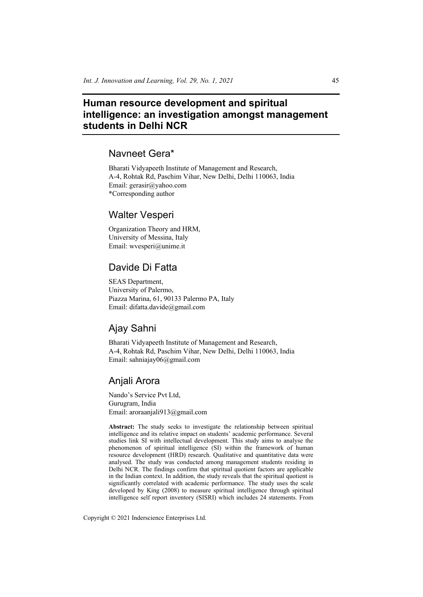# **Human resource development and spiritual intelligence: an investigation amongst management students in Delhi NCR**

# Navneet Gera\*

Bharati Vidyapeeth Institute of Management and Research, A-4, Rohtak Rd, Paschim Vihar, New Delhi, Delhi 110063, India Email: gerasir@yahoo.com \*Corresponding author

# Walter Vesperi

Organization Theory and HRM, University of Messina, Italy Email: wvesperi@unime.it

# Davide Di Fatta

SEAS Department, University of Palermo, Piazza Marina, 61, 90133 Palermo PA, Italy Email: difatta.davide@gmail.com

# Ajay Sahni

Bharati Vidyapeeth Institute of Management and Research, A-4, Rohtak Rd, Paschim Vihar, New Delhi, Delhi 110063, India Email: sahniajay06@gmail.com

# Anjali Arora

Nando's Service Pvt Ltd, Gurugram, India Email: aroraanjali913@gmail.com

**Abstract:** The study seeks to investigate the relationship between spiritual intelligence and its relative impact on students' academic performance. Several studies link SI with intellectual development. This study aims to analyse the phenomenon of spiritual intelligence (SI) within the framework of human resource development (HRD) research. Qualitative and quantitative data were analysed. The study was conducted among management students residing in Delhi NCR. The findings confirm that spiritual quotient factors are applicable in the Indian context. In addition, the study reveals that the spiritual quotient is significantly correlated with academic performance. The study uses the scale developed by King (2008) to measure spiritual intelligence through spiritual intelligence self report inventory (SISRI) which includes 24 statements. From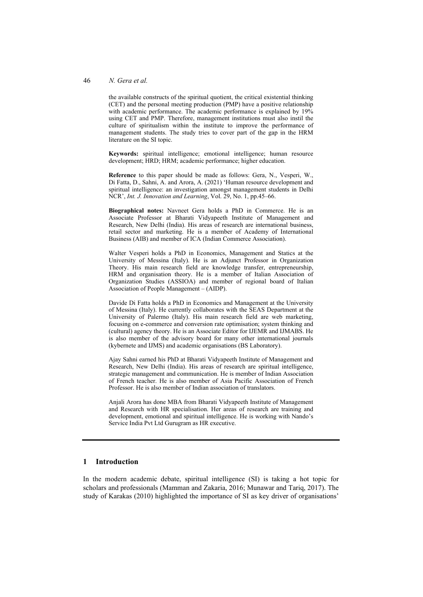### 46 *N. Gera et al.*

the available constructs of the spiritual quotient, the critical existential thinking (CET) and the personal meeting production (PMP) have a positive relationship with academic performance. The academic performance is explained by 19% using CET and PMP. Therefore, management institutions must also instil the culture of spiritualism within the institute to improve the performance of management students. The study tries to cover part of the gap in the HRM literature on the SI topic.

**Keywords:** spiritual intelligence; emotional intelligence; human resource development; HRD; HRM; academic performance; higher education.

**Reference** to this paper should be made as follows: Gera, N., Vesperi, W., Di Fatta, D., Sahni, A. and Arora, A. (2021) 'Human resource development and spiritual intelligence: an investigation amongst management students in Delhi NCR', *Int. J. Innovation and Learning*, Vol. 29, No. 1, pp.45–66.

**Biographical notes:** Navneet Gera holds a PhD in Commerce. He is an Associate Professor at Bharati Vidyapeeth Institute of Management and Research, New Delhi (India). His areas of research are international business, retail sector and marketing. He is a member of Academy of International Business (AIB) and member of ICA (Indian Commerce Association).

Walter Vesperi holds a PhD in Economics, Management and Statics at the University of Messina (Italy). He is an Adjunct Professor in Organization Theory. His main research field are knowledge transfer, entrepreneurship, HRM and organisation theory. He is a member of Italian Association of Organization Studies (ASSIOA) and member of regional board of Italian Association of People Management – (AIDP).

Davide Di Fatta holds a PhD in Economics and Management at the University of Messina (Italy). He currently collaborates with the SEAS Department at the University of Palermo (Italy). His main research field are web marketing, focusing on e-commerce and conversion rate optimisation; system thinking and (cultural) agency theory. He is an Associate Editor for IJEMR and IJMABS. He is also member of the advisory board for many other international journals (kybernete and IJMS) and academic organisations (BS Laboratory).

Ajay Sahni earned his PhD at Bharati Vidyapeeth Institute of Management and Research, New Delhi (India). His areas of research are spiritual intelligence, strategic management and communication. He is member of Indian Association of French teacher. He is also member of Asia Pacific Association of French Professor. He is also member of Indian association of translators.

Anjali Arora has done MBA from Bharati Vidyapeeth Institute of Management and Research with HR specialisation. Her areas of research are training and development, emotional and spiritual intelligence. He is working with Nando's Service India Pvt Ltd Gurugram as HR executive.

## **1 Introduction**

In the modern academic debate, spiritual intelligence (SI) is taking a hot topic for scholars and professionals (Mamman and Zakaria, 2016; Munawar and Tariq, 2017). The study of Karakas (2010) highlighted the importance of SI as key driver of organisations'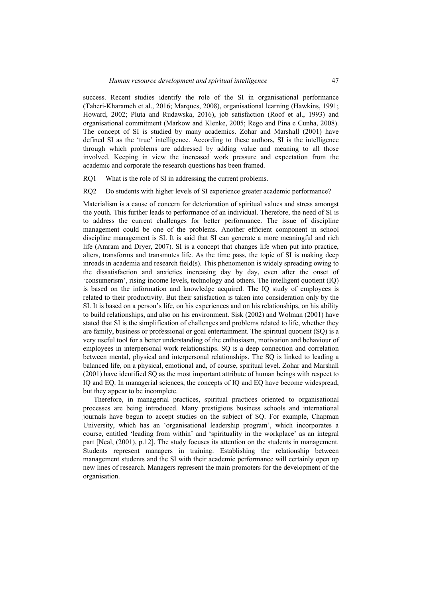success. Recent studies identify the role of the SI in organisational performance (Taheri-Kharameh et al., 2016; Marques, 2008), organisational learning (Hawkins, 1991; Howard, 2002; Pluta and Rudawska, 2016), job satisfaction (Roof et al., 1993) and organisational commitment (Markow and Klenke, 2005; Rego and Pina e Cunha, 2008). The concept of SI is studied by many academics. Zohar and Marshall (2001) have defined SI as the 'true' intelligence. According to these authors, SI is the intelligence through which problems are addressed by adding value and meaning to all those involved. Keeping in view the increased work pressure and expectation from the academic and corporate the research questions has been framed.

- RQ1 What is the role of SI in addressing the current problems.
- RQ2 Do students with higher levels of SI experience greater academic performance?

Materialism is a cause of concern for deterioration of spiritual values and stress amongst the youth. This further leads to performance of an individual. Therefore, the need of SI is to address the current challenges for better performance. The issue of discipline management could be one of the problems. Another efficient component in school discipline management is SI. It is said that SI can generate a more meaningful and rich life (Amram and Dryer, 2007). SI is a concept that changes life when put into practice, alters, transforms and transmutes life. As the time pass, the topic of SI is making deep inroads in academia and research field(s). This phenomenon is widely spreading owing to the dissatisfaction and anxieties increasing day by day, even after the onset of 'consumerism', rising income levels, technology and others. The intelligent quotient (IQ) is based on the information and knowledge acquired. The IQ study of employees is related to their productivity. But their satisfaction is taken into consideration only by the SI. It is based on a person's life, on his experiences and on his relationships, on his ability to build relationships, and also on his environment. Sisk (2002) and Wolman (2001) have stated that SI is the simplification of challenges and problems related to life, whether they are family, business or professional or goal entertainment. The spiritual quotient (SQ) is a very useful tool for a better understanding of the enthusiasm, motivation and behaviour of employees in interpersonal work relationships. SQ is a deep connection and correlation between mental, physical and interpersonal relationships. The SQ is linked to leading a balanced life, on a physical, emotional and, of course, spiritual level. Zohar and Marshall (2001) have identified SQ as the most important attribute of human beings with respect to IQ and EQ. In managerial sciences, the concepts of IQ and EQ have become widespread, but they appear to be incomplete.

Therefore, in managerial practices, spiritual practices oriented to organisational processes are being introduced. Many prestigious business schools and international journals have begun to accept studies on the subject of SQ. For example, Chapman University, which has an 'organisational leadership program', which incorporates a course, entitled 'leading from within' and 'spirituality in the workplace' as an integral part [Neal, (2001), p.12]. The study focuses its attention on the students in management. Students represent managers in training. Establishing the relationship between management students and the SI with their academic performance will certainly open up new lines of research. Managers represent the main promoters for the development of the organisation.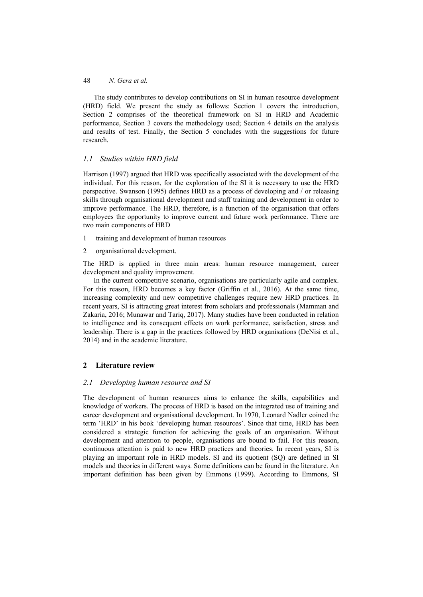The study contributes to develop contributions on SI in human resource development (HRD) field. We present the study as follows: Section 1 covers the introduction, Section 2 comprises of the theoretical framework on SI in HRD and Academic performance, Section 3 covers the methodology used; Section 4 details on the analysis and results of test. Finally, the Section 5 concludes with the suggestions for future research.

## *1.1 Studies within HRD field*

Harrison (1997) argued that HRD was specifically associated with the development of the individual. For this reason, for the exploration of the SI it is necessary to use the HRD perspective. Swanson (1995) defines HRD as a process of developing and / or releasing skills through organisational development and staff training and development in order to improve performance. The HRD, therefore, is a function of the organisation that offers employees the opportunity to improve current and future work performance. There are two main components of HRD

- 1 training and development of human resources
- 2 organisational development.

The HRD is applied in three main areas: human resource management, career development and quality improvement.

In the current competitive scenario, organisations are particularly agile and complex. For this reason, HRD becomes a key factor (Griffin et al., 2016). At the same time, increasing complexity and new competitive challenges require new HRD practices. In recent years, SI is attracting great interest from scholars and professionals (Mamman and Zakaria, 2016; Munawar and Tariq, 2017). Many studies have been conducted in relation to intelligence and its consequent effects on work performance, satisfaction, stress and leadership. There is a gap in the practices followed by HRD organisations (DeNisi et al., 2014) and in the academic literature.

# **2 Literature review**

## *2.1 Developing human resource and SI*

The development of human resources aims to enhance the skills, capabilities and knowledge of workers. The process of HRD is based on the integrated use of training and career development and organisational development. In 1970, Leonard Nadler coined the term 'HRD' in his book 'developing human resources'. Since that time, HRD has been considered a strategic function for achieving the goals of an organisation. Without development and attention to people, organisations are bound to fail. For this reason, continuous attention is paid to new HRD practices and theories. In recent years, SI is playing an important role in HRD models. SI and its quotient (SQ) are defined in SI models and theories in different ways. Some definitions can be found in the literature. An important definition has been given by Emmons (1999). According to Emmons, SI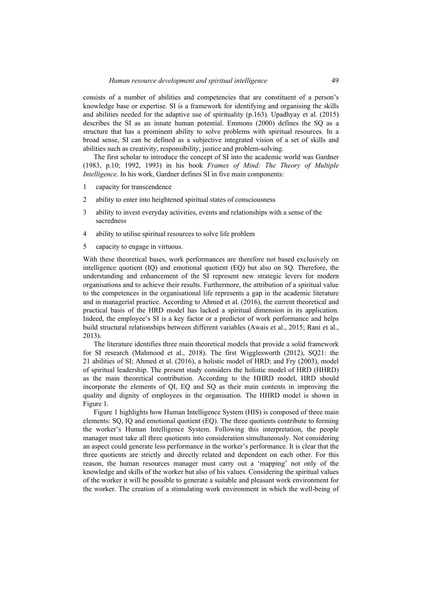consists of a number of abilities and competencies that are constituent of a person's knowledge base or expertise. SI is a framework for identifying and organising the skills and abilities needed for the adaptive use of spirituality (p.163). Upadhyay et al. (2015) describes the SI as an innate human potential. Emmons (2000) defines the SQ as a structure that has a prominent ability to solve problems with spiritual resources. In a broad sense, SI can be defined as a subjective integrated vision of a set of skills and abilities such as creativity, responsibility, justice and problem-solving.

The first scholar to introduce the concept of SI into the academic world was Gardner (1983, p.10; 1992, 1993) in his book *Frames of Mind: The Theory of Multiple Intelligence*. In his work, Gardner defines SI in five main components:

- 1 capacity for transcendence
- 2 ability to enter into heightened spiritual states of consciousness
- 3 ability to invest everyday activities, events and relationships with a sense of the sacredness
- 4 ability to utilise spiritual resources to solve life problem
- 5 capacity to engage in virtuous.

With these theoretical bases, work performances are therefore not based exclusively on intelligence quotient (IQ) and emotional quotient (EQ) but also on SQ. Therefore, the understanding and enhancement of the SI represent new strategic levers for modern organisations and to achieve their results. Furthermore, the attribution of a spiritual value to the competences in the organisational life represents a gap in the academic literature and in managerial practice. According to Ahmed et al. (2016), the current theoretical and practical basis of the HRD model has lacked a spiritual dimension in its application. Indeed, the employee's SI is a key factor or a predictor of work performance and helps build structural relationships between different variables (Awais et al., 2015; Rani et al., 2013).

The literature identifies three main theoretical models that provide a solid framework for SI research (Mahmood et al., 2018). The first Wigglesworth (2012), SQ21: the 21 abilities of SI; Ahmed et al. (2016), a holistic model of HRD; and Fry (2003), model of spiritual leadership. The present study considers the holistic model of HRD (HHRD) as the main theoretical contribution. According to the HHRD model, HRD should incorporate the elements of QI, EQ and SQ as their main contents in improving the quality and dignity of employees in the organisation. The HHRD model is shown in Figure 1.

Figure 1 highlights how Human Intelligence System (HIS) is composed of three main elements: SQ, IQ and emotional quotient (EQ). The three quotients contribute to forming the worker's Human Intelligence System. Following this interpretation, the people manager must take all three quotients into consideration simultaneously. Not considering an aspect could generate less performance in the worker's performance. It is clear that the three quotients are strictly and directly related and dependent on each other. For this reason, the human resources manager must carry out a 'mapping' not only of the knowledge and skills of the worker but also of his values. Considering the spiritual values of the worker it will be possible to generate a suitable and pleasant work environment for the worker. The creation of a stimulating work environment in which the well-being of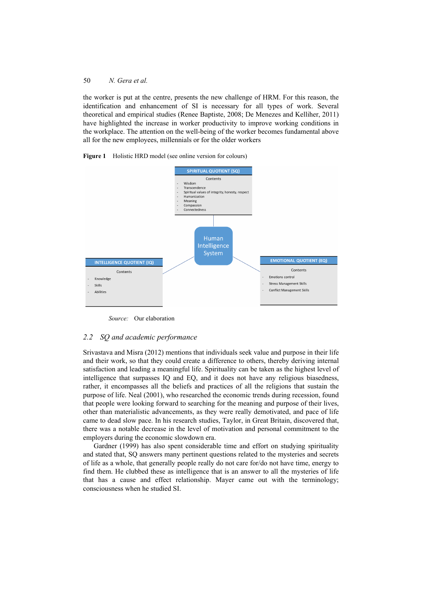the worker is put at the centre, presents the new challenge of HRM. For this reason, the identification and enhancement of SI is necessary for all types of work. Several theoretical and empirical studies (Renee Baptiste, 2008; De Menezes and Kelliher, 2011) have highlighted the increase in worker productivity to improve working conditions in the workplace. The attention on the well-being of the worker becomes fundamental above all for the new employees, millennials or for the older workers





*Source:* Our elaboration

## *2.2 SQ and academic performance*

Srivastava and Misra (2012) mentions that individuals seek value and purpose in their life and their work, so that they could create a difference to others, thereby deriving internal satisfaction and leading a meaningful life. Spirituality can be taken as the highest level of intelligence that surpasses IQ and EQ, and it does not have any religious biasedness, rather, it encompasses all the beliefs and practices of all the religions that sustain the purpose of life. Neal (2001), who researched the economic trends during recession, found that people were looking forward to searching for the meaning and purpose of their lives, other than materialistic advancements, as they were really demotivated, and pace of life came to dead slow pace. In his research studies, Taylor, in Great Britain, discovered that, there was a notable decrease in the level of motivation and personal commitment to the employers during the economic slowdown era.

Gardner (1999) has also spent considerable time and effort on studying spirituality and stated that, SQ answers many pertinent questions related to the mysteries and secrets of life as a whole, that generally people really do not care for/do not have time, energy to find them. He clubbed these as intelligence that is an answer to all the mysteries of life that has a cause and effect relationship. Mayer came out with the terminology; consciousness when he studied SI.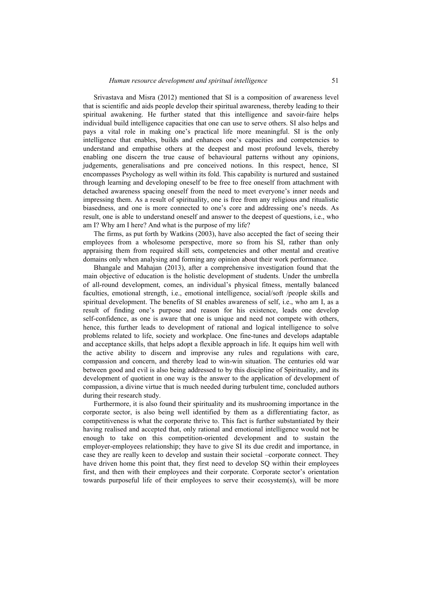Srivastava and Misra (2012) mentioned that SI is a composition of awareness level that is scientific and aids people develop their spiritual awareness, thereby leading to their spiritual awakening. He further stated that this intelligence and savoir-faire helps individual build intelligence capacities that one can use to serve others. SI also helps and pays a vital role in making one's practical life more meaningful. SI is the only intelligence that enables, builds and enhances one's capacities and competencies to understand and empathise others at the deepest and most profound levels, thereby enabling one discern the true cause of behavioural patterns without any opinions, judgements, generalisations and pre conceived notions. In this respect, hence, SI encompasses Psychology as well within its fold. This capability is nurtured and sustained through learning and developing oneself to be free to free oneself from attachment with detached awareness spacing oneself from the need to meet everyone's inner needs and impressing them. As a result of spirituality, one is free from any religious and ritualistic biasedness, and one is more connected to one's core and addressing one's needs. As result, one is able to understand oneself and answer to the deepest of questions, i.e., who am I? Why am I here? And what is the purpose of my life?

The firms, as put forth by Watkins (2003), have also accepted the fact of seeing their employees from a wholesome perspective, more so from his SI, rather than only appraising them from required skill sets, competencies and other mental and creative domains only when analysing and forming any opinion about their work performance.

Bhangale and Mahajan (2013), after a comprehensive investigation found that the main objective of education is the holistic development of students. Under the umbrella of all-round development, comes, an individual's physical fitness, mentally balanced faculties, emotional strength, i.e., emotional intelligence, social/soft /people skills and spiritual development. The benefits of SI enables awareness of self, i.e., who am I, as a result of finding one's purpose and reason for his existence, leads one develop self-confidence, as one is aware that one is unique and need not compete with others, hence, this further leads to development of rational and logical intelligence to solve problems related to life, society and workplace. One fine-tunes and develops adaptable and acceptance skills, that helps adopt a flexible approach in life. It equips him well with the active ability to discern and improvise any rules and regulations with care, compassion and concern, and thereby lead to win-win situation. The centuries old war between good and evil is also being addressed to by this discipline of Spirituality, and its development of quotient in one way is the answer to the application of development of compassion, a divine virtue that is much needed during turbulent time, concluded authors during their research study.

Furthermore, it is also found their spirituality and its mushrooming importance in the corporate sector, is also being well identified by them as a differentiating factor, as competitiveness is what the corporate thrive to. This fact is further substantiated by their having realised and accepted that, only rational and emotional intelligence would not be enough to take on this competition-oriented development and to sustain the employer-employees relationship; they have to give SI its due credit and importance, in case they are really keen to develop and sustain their societal –corporate connect. They have driven home this point that, they first need to develop SQ within their employees first, and then with their employees and their corporate. Corporate sector's orientation towards purposeful life of their employees to serve their ecosystem(s), will be more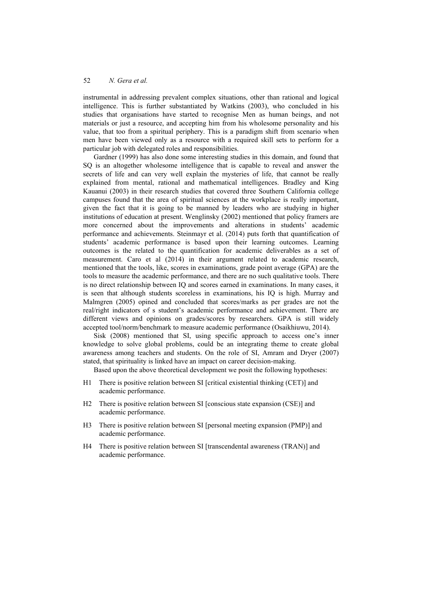instrumental in addressing prevalent complex situations, other than rational and logical intelligence. This is further substantiated by Watkins (2003), who concluded in his studies that organisations have started to recognise Men as human beings, and not materials or just a resource, and accepting him from his wholesome personality and his value, that too from a spiritual periphery. This is a paradigm shift from scenario when men have been viewed only as a resource with a required skill sets to perform for a particular job with delegated roles and responsibilities.

Gardner (1999) has also done some interesting studies in this domain, and found that SQ is an altogether wholesome intelligence that is capable to reveal and answer the secrets of life and can very well explain the mysteries of life, that cannot be really explained from mental, rational and mathematical intelligences. Bradley and King Kauanui (2003) in their research studies that covered three Southern California college campuses found that the area of spiritual sciences at the workplace is really important, given the fact that it is going to be manned by leaders who are studying in higher institutions of education at present. Wenglinsky (2002) mentioned that policy framers are more concerned about the improvements and alterations in students' academic performance and achievements. Steinmayr et al. (2014) puts forth that quantification of students' academic performance is based upon their learning outcomes. Learning outcomes is the related to the quantification for academic deliverables as a set of measurement. Caro et al (2014) in their argument related to academic research, mentioned that the tools, like, scores in examinations, grade point average (GPA) are the tools to measure the academic performance, and there are no such qualitative tools. There is no direct relationship between IQ and scores earned in examinations. In many cases, it is seen that although students scoreless in examinations, his IQ is high. Murray and Malmgren (2005) opined and concluded that scores/marks as per grades are not the real/right indicators of s student's academic performance and achievement. There are different views and opinions on grades/scores by researchers. GPA is still widely accepted tool/norm/benchmark to measure academic performance (Osaikhiuwu, 2014).

Sisk (2008) mentioned that SI, using specific approach to access one's inner knowledge to solve global problems, could be an integrating theme to create global awareness among teachers and students. On the role of SI, Amram and Dryer (2007) stated, that spirituality is linked have an impact on career decision-making.

Based upon the above theoretical development we posit the following hypotheses:

- H1 There is positive relation between SI [critical existential thinking (CET)] and academic performance.
- H2 There is positive relation between SI [conscious state expansion (CSE)] and academic performance.
- H3 There is positive relation between SI [personal meeting expansion (PMP)] and academic performance.
- H4 There is positive relation between SI [transcendental awareness (TRAN)] and academic performance.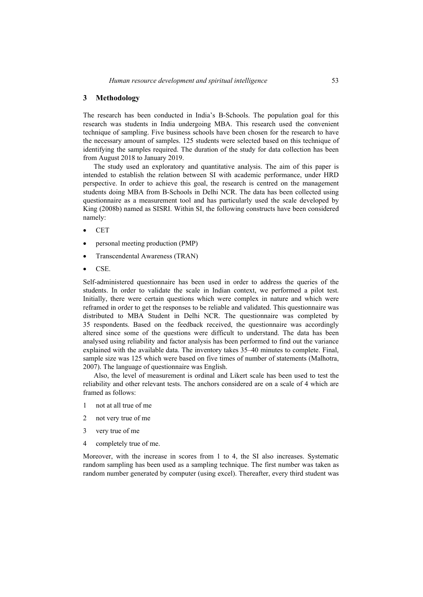#### **3 Methodology**

The research has been conducted in India's B-Schools. The population goal for this research was students in India undergoing MBA. This research used the convenient technique of sampling. Five business schools have been chosen for the research to have the necessary amount of samples. 125 students were selected based on this technique of identifying the samples required. The duration of the study for data collection has been from August 2018 to January 2019.

The study used an exploratory and quantitative analysis. The aim of this paper is intended to establish the relation between SI with academic performance, under HRD perspective. In order to achieve this goal, the research is centred on the management students doing MBA from B-Schools in Delhi NCR. The data has been collected using questionnaire as a measurement tool and has particularly used the scale developed by King (2008b) named as SISRI. Within SI, the following constructs have been considered namely:

- CET
- personal meeting production (PMP)
- Transcendental Awareness (TRAN)
- CSE.

Self-administered questionnaire has been used in order to address the queries of the students. In order to validate the scale in Indian context, we performed a pilot test. Initially, there were certain questions which were complex in nature and which were reframed in order to get the responses to be reliable and validated. This questionnaire was distributed to MBA Student in Delhi NCR. The questionnaire was completed by 35 respondents. Based on the feedback received, the questionnaire was accordingly altered since some of the questions were difficult to understand. The data has been analysed using reliability and factor analysis has been performed to find out the variance explained with the available data. The inventory takes 35–40 minutes to complete. Final, sample size was 125 which were based on five times of number of statements (Malhotra, 2007). The language of questionnaire was English.

Also, the level of measurement is ordinal and Likert scale has been used to test the reliability and other relevant tests. The anchors considered are on a scale of 4 which are framed as follows:

- 1 not at all true of me
- 2 not very true of me
- 3 very true of me
- 4 completely true of me.

Moreover, with the increase in scores from 1 to 4, the SI also increases. Systematic random sampling has been used as a sampling technique. The first number was taken as random number generated by computer (using excel). Thereafter, every third student was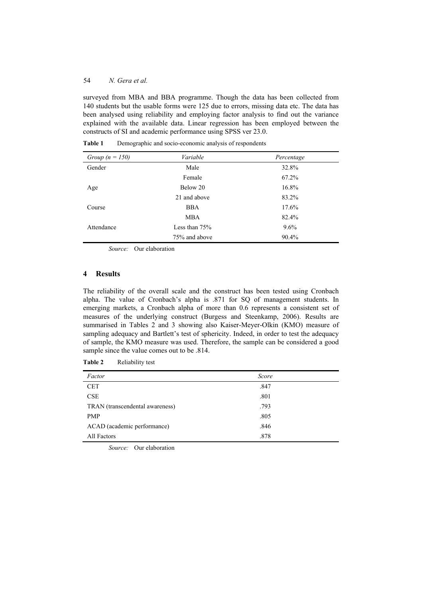surveyed from MBA and BBA programme. Though the data has been collected from 140 students but the usable forms were 125 due to errors, missing data etc. The data has been analysed using reliability and employing factor analysis to find out the variance explained with the available data. Linear regression has been employed between the constructs of SI and academic performance using SPSS ver 23.0.

| Group $(n = 150)$ | Variable        | Percentage |
|-------------------|-----------------|------------|
| Gender            | Male            | 32.8%      |
|                   | Female          | 67.2%      |
| Age               | Below 20        | 16.8%      |
|                   | 21 and above    | 83.2%      |
| Course            | <b>BBA</b>      | 17.6%      |
|                   | <b>MBA</b>      | 82.4%      |
| Attendance        | Less than $75%$ | $9.6\%$    |
|                   | 75% and above   | 90.4%      |

**Table 1** Demographic and socio-economic analysis of respondents

*Source:* Our elaboration

## **4 Results**

The reliability of the overall scale and the construct has been tested using Cronbach alpha. The value of Cronbach's alpha is .871 for SQ of management students. In emerging markets, a Cronbach alpha of more than 0.6 represents a consistent set of measures of the underlying construct (Burgess and Steenkamp, 2006). Results are summarised in Tables 2 and 3 showing also Kaiser-Meyer-Olkin (KMO) measure of sampling adequacy and Bartlett's test of sphericity. Indeed, in order to test the adequacy of sample, the KMO measure was used. Therefore, the sample can be considered a good sample since the value comes out to be .814.

| Table 2 | Reliability test |
|---------|------------------|
|---------|------------------|

| Factor                          | Score |  |
|---------------------------------|-------|--|
| <b>CET</b>                      | .847  |  |
| CSE                             | .801  |  |
| TRAN (transcendental awareness) | .793  |  |
| <b>PMP</b>                      | .805  |  |
| ACAD (academic performance)     | .846  |  |
| All Factors                     | .878  |  |

*Source:* Our elaboration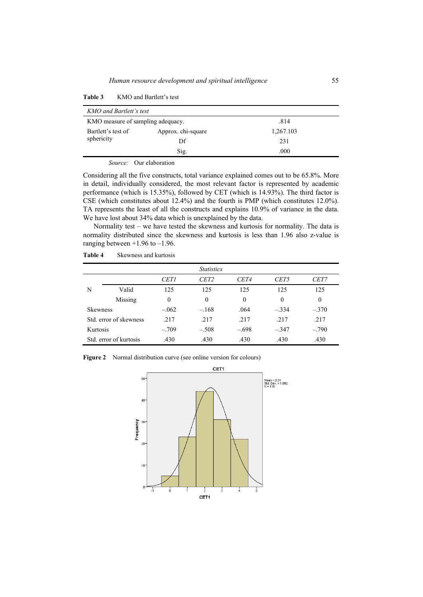| KMO and Bartlett's test                   |                    |           |  |  |
|-------------------------------------------|--------------------|-----------|--|--|
| KMO measure of sampling adequacy.<br>.814 |                    |           |  |  |
| Bartlett's test of                        | Approx. chi-square | 1,267.103 |  |  |
| sphericity                                | Df                 | 231       |  |  |
|                                           | Sig.               | .000      |  |  |

**Table 3** KMO and Bartlett's test

*Source:* Our elaboration

Considering all the five constructs, total variance explained comes out to be 65.8%. More in detail, individually considered, the most relevant factor is represented by academic performance (which is 15.35%), followed by CET (which is 14.93%). The third factor is CSE (which constitutes about 12.4%) and the fourth is PMP (which constitutes 12.0%). TA represents the least of all the constructs and explains 10.9% of variance in the data. We have lost about 34% data which is unexplained by the data.

Normality test – we have tested the skewness and kurtosis for normality. The data is normality distributed since the skewness and kurtosis is less than 1.96 also z-value is ranging between  $+1.96$  to  $-1.96$ .

|                 | <b>Statistics</b>      |                  |                  |          |                  |          |  |
|-----------------|------------------------|------------------|------------------|----------|------------------|----------|--|
|                 |                        | <b>CET1</b>      | CET <sub>2</sub> | CET4     | CET <sub>5</sub> | CET7     |  |
| N               | Valid                  | 125              | 125              | 125      | 125              | 125      |  |
|                 | Missing                | $\boldsymbol{0}$ | $\theta$         | $\theta$ | 0                | $\theta$ |  |
| <b>Skewness</b> |                        | $-.062$          | $-.168$          | .064     | $-.334$          | $-.370$  |  |
|                 | Std. error of skewness | .217             | .217             | .217     | .217             | .217     |  |
| Kurtosis        |                        | $-.709$          | $-.508$          | $-.698$  | $-.347$          | $-.790$  |  |
|                 | Std. error of kurtosis | .430             | .430             | .430     | .430             | .430     |  |

**Table 4** Skewness and kurtosis

**Figure 2** Normal distribution curve (see online version for colours)

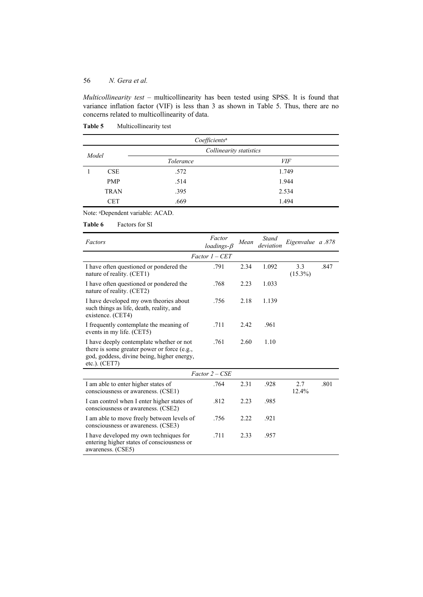*Multicollinearity test* – multicollinearity has been tested using SPSS. It is found that variance inflation factor (VIF) is less than 3 as shown in Table 5. Thus, there are no concerns related to multicollinearity of data.

| Coefficients <sup>a</sup> |             |           |                         |  |  |
|---------------------------|-------------|-----------|-------------------------|--|--|
| Model                     |             |           | Collinearity statistics |  |  |
|                           |             | Tolerance | <i>VIF</i>              |  |  |
|                           | CSE         | .572      | 1.749                   |  |  |
|                           | <b>PMP</b>  | .514      | 1.944                   |  |  |
|                           | <b>TRAN</b> | .395      | 2.534                   |  |  |
|                           | <b>CET</b>  | .669      | 1.494                   |  |  |

**Table 5** Multicollinearity test

## Note: aDependent variable: ACAD.

### **Table 6** Factors for SI

| Factors                                                                                                                                                  | Factor<br>loadings- $\beta$ | Mean | Stand<br>deviation | Eigenvalue a .878 |      |
|----------------------------------------------------------------------------------------------------------------------------------------------------------|-----------------------------|------|--------------------|-------------------|------|
|                                                                                                                                                          | $Factor 1 - CET$            |      |                    |                   |      |
| I have often questioned or pondered the<br>nature of reality. (CET1)                                                                                     | .791                        | 2.34 | 1.092              | 3.3<br>$(15.3\%)$ | .847 |
| I have often questioned or pondered the<br>nature of reality. (CET2)                                                                                     | .768                        | 2.23 | 1.033              |                   |      |
| I have developed my own theories about<br>such things as life, death, reality, and<br>existence. (CET4)                                                  | .756                        | 2.18 | 1.139              |                   |      |
| I frequently contemplate the meaning of<br>events in my life. (CET5)                                                                                     | .711                        | 2.42 | .961               |                   |      |
| I have deeply contemplate whether or not<br>there is some greater power or force (e.g.,<br>god, goddess, divine being, higher energy,<br>etc.). $(CET7)$ | .761                        | 2.60 | 1.10               |                   |      |
|                                                                                                                                                          | $Factor 2 - CSE$            |      |                    |                   |      |
| I am able to enter higher states of<br>consciousness or awareness. (CSE1)                                                                                | .764                        | 2.31 | .928               | 2.7<br>12.4%      | .801 |
| I can control when I enter higher states of<br>consciousness or awareness. (CSE2)                                                                        | .812                        | 2.23 | .985               |                   |      |
| I am able to move freely between levels of<br>consciousness or awareness. (CSE3)                                                                         | .756                        | 2.22 | .921               |                   |      |
| I have developed my own techniques for<br>entering higher states of consciousness or<br>awareness. (CSE5)                                                | .711                        | 2.33 | .957               |                   |      |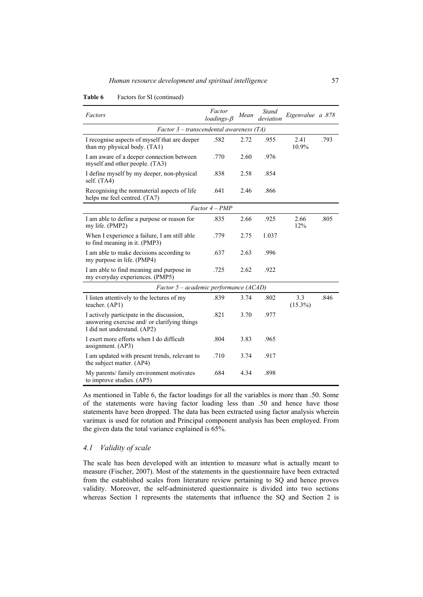| Factors                                                                                                                  | Factor<br>$loadings-B$ | Mean | Stand<br>deviation | Eigenvalue a .878 |      |  |
|--------------------------------------------------------------------------------------------------------------------------|------------------------|------|--------------------|-------------------|------|--|
| Factor 3 – transcendental awareness (TA)                                                                                 |                        |      |                    |                   |      |  |
| I recognise aspects of myself that are deeper<br>than my physical body. (TA1)                                            | .582                   | 2.72 | .955               | 2.41<br>10.9%     | .793 |  |
| I am aware of a deeper connection between<br>myself and other people. (TA3)                                              | .770                   | 2.60 | .976               |                   |      |  |
| I define myself by my deeper, non-physical<br>self. $(TA4)$                                                              | .838                   | 2.58 | .854               |                   |      |  |
| Recognising the nonmaterial aspects of life<br>helps me feel centred. (TA7)                                              | .641                   | 2.46 | .866               |                   |      |  |
|                                                                                                                          | $Factor 4 - PMP$       |      |                    |                   |      |  |
| I am able to define a purpose or reason for<br>my life. (PMP2)                                                           | .835                   | 2.66 | .925               | 2.66<br>12%       | .805 |  |
| When I experience a failure, I am still able<br>to find meaning in it. (PMP3)                                            | .779                   | 2.75 | 1.037              |                   |      |  |
| I am able to make decisions according to<br>my purpose in life. (PMP4)                                                   | .637                   | 2.63 | .996               |                   |      |  |
| I am able to find meaning and purpose in<br>my everyday experiences. (PMP5)                                              | .725                   | 2.62 | .922               |                   |      |  |
| Factor 5 – academic performance (ACAD)                                                                                   |                        |      |                    |                   |      |  |
| I listen attentively to the lectures of my<br>teacher. (AP1)                                                             | .839                   | 3.74 | .802               | 3.3<br>$(15.3\%)$ | .846 |  |
| I actively participate in the discussion,<br>answering exercise and/ or clarifying things<br>I did not understand. (AP2) | .821                   | 3.70 | .977               |                   |      |  |
| I exert more efforts when I do difficult<br>assignment. $(AP3)$                                                          | .804                   | 3.83 | .965               |                   |      |  |
| I am updated with present trends, relevant to<br>the subject matter. (AP4)                                               | .710                   | 3.74 | .917               |                   |      |  |
| My parents/ family environment motivates<br>to improve studies. (AP5)                                                    | .684                   | 4.34 | .898               |                   |      |  |

### Table 6 Factors for SI (continued)

As mentioned in Table 6, the factor loadings for all the variables is more than .50. Some of the statements were having factor loading less than .50 and hence have those statements have been dropped. The data has been extracted using factor analysis wherein varimax is used for rotation and Principal component analysis has been employed. From the given data the total variance explained is 65%.

## *4.1 Validity of scale*

The scale has been developed with an intention to measure what is actually meant to measure (Fischer, 2007). Most of the statements in the questionnaire have been extracted from the established scales from literature review pertaining to SQ and hence proves validity. Moreover, the self-administered questionnaire is divided into two sections whereas Section 1 represents the statements that influence the SQ and Section 2 is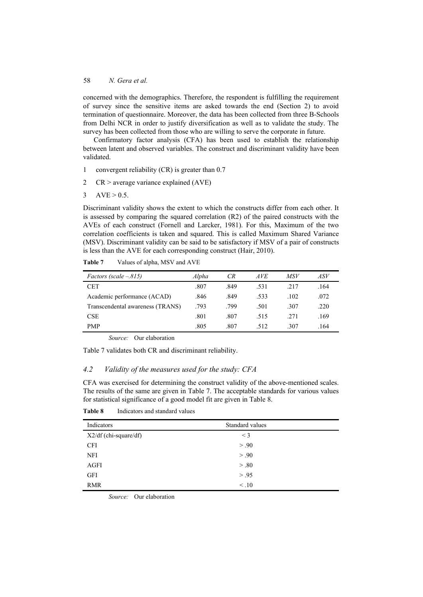concerned with the demographics. Therefore, the respondent is fulfilling the requirement of survey since the sensitive items are asked towards the end (Section 2) to avoid termination of questionnaire. Moreover, the data has been collected from three B-Schools from Delhi NCR in order to justify diversification as well as to validate the study. The survey has been collected from those who are willing to serve the corporate in future.

Confirmatory factor analysis (CFA) has been used to establish the relationship between latent and observed variables. The construct and discriminant validity have been validated.

- 1 convergent reliability (CR) is greater than 0.7
- 2 CR > average variance explained (AVE)

```
3 AVE > 0.5.
```
Discriminant validity shows the extent to which the constructs differ from each other. It is assessed by comparing the squared correlation (R2) of the paired constructs with the AVEs of each construct (Fornell and Larcker, 1981). For this, Maximum of the two correlation coefficients is taken and squared. This is called Maximum Shared Variance (MSV). Discriminant validity can be said to be satisfactory if MSV of a pair of constructs is less than the AVE for each corresponding construct (Hair, 2010).

| <i>Factors (scale <math>-.815</math>)</i> | Alpha | CR   | <i>AVE</i> | MSV  | ASV  |
|-------------------------------------------|-------|------|------------|------|------|
| <b>CET</b>                                | .807  | .849 | .531       | .217 | .164 |
| Academic performance (ACAD)               | .846  | .849 | .533       | .102 | .072 |
| Transcendental awareness (TRANS)          | .793  | .799 | .501       | .307 | .220 |
| <b>CSE</b>                                | .801  | .807 | .515       | .271 | .169 |
| <b>PMP</b>                                | .805  | .807 | .512       | .307 | .164 |

**Table 7** Values of alpha, MSV and AVE

*Source:* Our elaboration

Table 7 validates both CR and discriminant reliability.

## *4.2 Validity of the measures used for the study: CFA*

CFA was exercised for determining the construct validity of the above-mentioned scales. The results of the same are given in Table 7. The acceptable standards for various values for statistical significance of a good model fit are given in Table 8.

| Indicators            | Standard values |
|-----------------------|-----------------|
| X2/df (chi-square/df) | $\leq$ 3        |
| <b>CFI</b>            | > .90           |
| <b>NFI</b>            | > .90           |
| AGFI                  | > .80           |
| <b>GFI</b>            | > .95           |
| <b>RMR</b>            | $\leq .10$      |

**Table 8** Indicators and standard values

*Source:* Our elaboration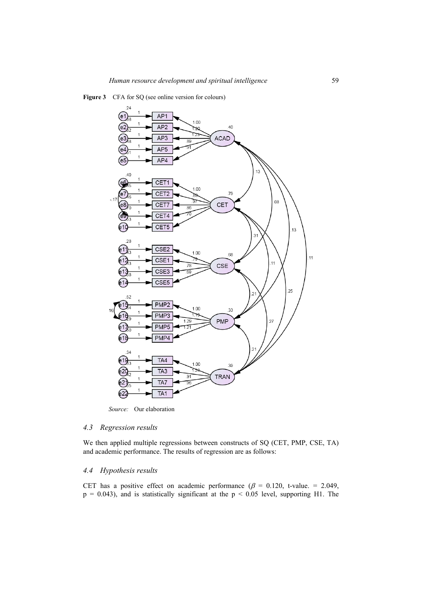



*Source:* Our elaboration

### *4.3 Regression results*

We then applied multiple regressions between constructs of SQ (CET, PMP, CSE, TA) and academic performance. The results of regression are as follows:

## *4.4 Hypothesis results*

CET has a positive effect on academic performance ( $\beta$  = 0.120, t-value. = 2.049,  $p = 0.043$ ), and is statistically significant at the  $p \le 0.05$  level, supporting H1. The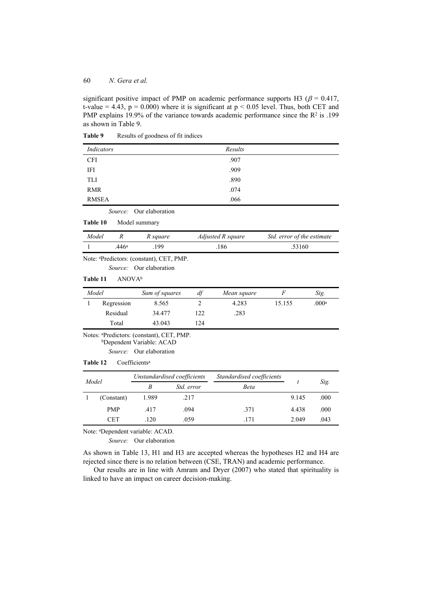significant positive impact of PMP on academic performance supports H3 ( $\beta$  = 0.417, t-value = 4.43,  $p = 0.000$ ) where it is significant at  $p \le 0.05$  level. Thus, both CET and PMP explains 19.9% of the variance towards academic performance since the  $\mathbb{R}^2$  is .199 as shown in Table 9.

| Indicators              | Results |  |
|-------------------------|---------|--|
| <b>CFI</b>              | .907    |  |
| IFI                     | .909    |  |
| TLI                     | .890    |  |
| <b>RMR</b>              | .074    |  |
| <b>RMSEA</b>            | .066    |  |
| Source: Our elaboration |         |  |

**Table 9** Results of goodness of fit indices

| Table 10 | Model summary |
|----------|---------------|
|          |               |

| Model |      | R square | Adjusted R square | Std. error of the estimate |
|-------|------|----------|-------------------|----------------------------|
|       | 446ª | 199      | 186               | .53160                     |

Note: aPredictors: (constant), CET, PMP.

*Source:* Our elaboration

### **Table 11** ANOVAb

| Model |            | Sum of squares | df  | Mean square |        | Sig.  |
|-------|------------|----------------|-----|-------------|--------|-------|
|       | Regression | 8.565          |     | 4.283       | 15.155 | .000a |
|       | Residual   | 34.477         | 122 | .283        |        |       |
|       | Total      | 43.043         | 124 |             |        |       |

Notes: aPredictors: (constant), CET, PMP. bDependent Variable: ACAD

*Source:* Our elaboration

#### Table 12 Coefficients<sup>a</sup>

| Model |            | Unstandardised coefficients |                   | Standardised coefficients |       |      |
|-------|------------|-----------------------------|-------------------|---------------------------|-------|------|
|       |            | B                           | <i>Std. error</i> | Beta                      |       | Sig. |
|       | (Constant) | 1.989                       | .217              |                           | 9.145 | .000 |
|       | <b>PMP</b> | .417                        | .094              | .371                      | 4.438 | .000 |
|       | CET        | .120                        | .059              | .171                      | 2.049 | .043 |

Note: aDependent variable: ACAD.

*Source:* Our elaboration

As shown in Table 13, H1 and H3 are accepted whereas the hypotheses H2 and H4 are rejected since there is no relation between (CSE, TRAN) and academic performance.

Our results are in line with Amram and Dryer (2007) who stated that spirituality is linked to have an impact on career decision-making.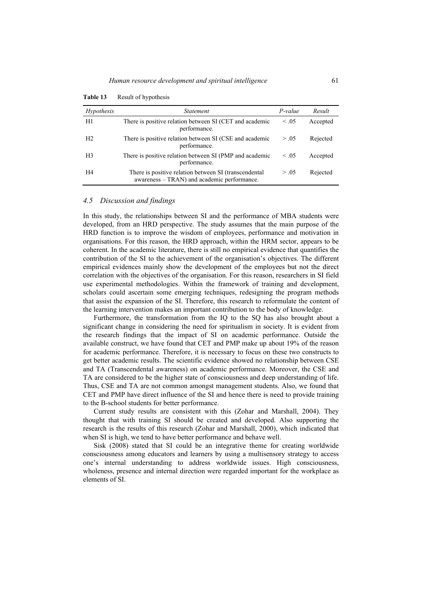| Hypothesis     | <i>Statement</i>                                                                                     | $P-value$  | Result   |
|----------------|------------------------------------------------------------------------------------------------------|------------|----------|
| H1             | There is positive relation between SI (CET and academic<br>performance.                              | $\leq .05$ | Accepted |
| H <sub>2</sub> | There is positive relation between SI (CSE and academic<br>performance.                              | > .05      | Rejected |
| H <sub>3</sub> | There is positive relation between SI (PMP and academic<br>performance.                              | $\leq .05$ | Accepted |
| H4             | There is positive relation between SI (transcendental<br>awareness - TRAN) and academic performance. | > .05      | Rejected |

**Table 13** Result of hypothesis

#### *4.5 Discussion and findings*

In this study, the relationships between SI and the performance of MBA students were developed, from an HRD perspective. The study assumes that the main purpose of the HRD function is to improve the wisdom of employees, performance and motivation in organisations. For this reason, the HRD approach, within the HRM sector, appears to be coherent. In the academic literature, there is still no empirical evidence that quantifies the contribution of the SI to the achievement of the organisation's objectives. The different empirical evidences mainly show the development of the employees but not the direct correlation with the objectives of the organisation. For this reason, researchers in SI field use experimental methodologies. Within the framework of training and development, scholars could ascertain some emerging techniques, redesigning the program methods that assist the expansion of the SI. Therefore, this research to reformulate the content of the learning intervention makes an important contribution to the body of knowledge.

Furthermore, the transformation from the IQ to the SQ has also brought about a significant change in considering the need for spiritualism in society. It is evident from the research findings that the impact of SI on academic performance. Outside the available construct, we have found that CET and PMP make up about 19% of the reason for academic performance. Therefore, it is necessary to focus on these two constructs to get better academic results. The scientific evidence showed no relationship between CSE and TA (Transcendental awareness) on academic performance. Moreover, the CSE and TA are considered to be the higher state of consciousness and deep understanding of life. Thus, CSE and TA are not common amongst management students. Also, we found that CET and PMP have direct influence of the SI and hence there is need to provide training to the B-school students for better performance.

Current study results are consistent with this (Zohar and Marshall, 2004). They thought that with training SI should be created and developed. Also supporting the research is the results of this research (Zohar and Marshall, 2000), which indicated that when SI is high, we tend to have better performance and behave well.

Sisk (2008) stated that SI could be an integrative theme for creating worldwide consciousness among educators and learners by using a multisensory strategy to access one's internal understanding to address worldwide issues. High consciousness, wholeness, presence and internal direction were regarded important for the workplace as elements of SI.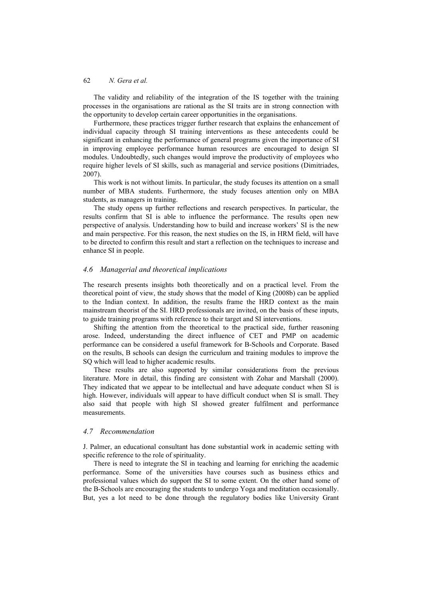The validity and reliability of the integration of the IS together with the training processes in the organisations are rational as the SI traits are in strong connection with the opportunity to develop certain career opportunities in the organisations.

Furthermore, these practices trigger further research that explains the enhancement of individual capacity through SI training interventions as these antecedents could be significant in enhancing the performance of general programs given the importance of SI in improving employee performance human resources are encouraged to design SI modules. Undoubtedly, such changes would improve the productivity of employees who require higher levels of SI skills, such as managerial and service positions (Dimitriades, 2007).

This work is not without limits. In particular, the study focuses its attention on a small number of MBA students. Furthermore, the study focuses attention only on MBA students, as managers in training.

The study opens up further reflections and research perspectives. In particular, the results confirm that SI is able to influence the performance. The results open new perspective of analysis. Understanding how to build and increase workers' SI is the new and main perspective. For this reason, the next studies on the IS, in HRM field, will have to be directed to confirm this result and start a reflection on the techniques to increase and enhance SI in people.

## *4.6 Managerial and theoretical implications*

The research presents insights both theoretically and on a practical level. From the theoretical point of view, the study shows that the model of King (2008b) can be applied to the Indian context. In addition, the results frame the HRD context as the main mainstream theorist of the SI. HRD professionals are invited, on the basis of these inputs, to guide training programs with reference to their target and SI interventions.

Shifting the attention from the theoretical to the practical side, further reasoning arose. Indeed, understanding the direct influence of CET and PMP on academic performance can be considered a useful framework for B-Schools and Corporate. Based on the results, B schools can design the curriculum and training modules to improve the SQ which will lead to higher academic results.

These results are also supported by similar considerations from the previous literature. More in detail, this finding are consistent with Zohar and Marshall (2000). They indicated that we appear to be intellectual and have adequate conduct when SI is high. However, individuals will appear to have difficult conduct when SI is small. They also said that people with high SI showed greater fulfilment and performance measurements.

### *4.7 Recommendation*

J. Palmer, an educational consultant has done substantial work in academic setting with specific reference to the role of spirituality.

There is need to integrate the SI in teaching and learning for enriching the academic performance. Some of the universities have courses such as business ethics and professional values which do support the SI to some extent. On the other hand some of the B-Schools are encouraging the students to undergo Yoga and meditation occasionally. But, yes a lot need to be done through the regulatory bodies like University Grant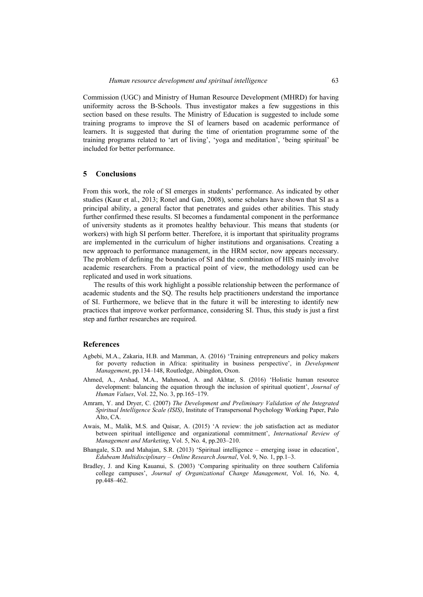Commission (UGC) and Ministry of Human Resource Development (MHRD) for having uniformity across the B-Schools. Thus investigator makes a few suggestions in this section based on these results. The Ministry of Education is suggested to include some training programs to improve the SI of learners based on academic performance of learners. It is suggested that during the time of orientation programme some of the training programs related to 'art of living', 'yoga and meditation', 'being spiritual' be included for better performance.

### **5 Conclusions**

From this work, the role of SI emerges in students' performance. As indicated by other studies (Kaur et al., 2013; Ronel and Gan, 2008), some scholars have shown that SI as a principal ability, a general factor that penetrates and guides other abilities. This study further confirmed these results. SI becomes a fundamental component in the performance of university students as it promotes healthy behaviour. This means that students (or workers) with high SI perform better. Therefore, it is important that spirituality programs are implemented in the curriculum of higher institutions and organisations. Creating a new approach to performance management, in the HRM sector, now appears necessary. The problem of defining the boundaries of SI and the combination of HIS mainly involve academic researchers. From a practical point of view, the methodology used can be replicated and used in work situations.

The results of this work highlight a possible relationship between the performance of academic students and the SQ. The results help practitioners understand the importance of SI. Furthermore, we believe that in the future it will be interesting to identify new practices that improve worker performance, considering SI. Thus, this study is just a first step and further researches are required.

### **References**

- Agbebi, M.A., Zakaria, H.B. and Mamman, A. (2016) 'Training entrepreneurs and policy makers for poverty reduction in Africa: spirituality in business perspective', in *Development Management*, pp.134–148, Routledge, Abingdon, Oxon.
- Ahmed, A., Arshad, M.A., Mahmood, A. and Akhtar, S. (2016) 'Holistic human resource development: balancing the equation through the inclusion of spiritual quotient', *Journal of Human Values*, Vol. 22, No. 3, pp.165–179.
- Amram, Y. and Dryer, C. (2007) *The Development and Preliminary Validation of the Integrated Spiritual Intelligence Scale (ISIS)*, Institute of Transpersonal Psychology Working Paper, Palo Alto, CA.
- Awais, M., Malik, M.S. and Qaisar, A. (2015) 'A review: the job satisfaction act as mediator between spiritual intelligence and organizational commitment', *International Review of Management and Marketing*, Vol. 5, No. 4, pp.203–210.
- Bhangale, S.D. and Mahajan, S.R. (2013) 'Spiritual intelligence emerging issue in education', *Edubeam Multidisciplinary – Online Research Journal*, Vol. 9, No. 1, pp.1–3.
- Bradley, J. and King Kauanui, S. (2003) 'Comparing spirituality on three southern California college campuses', *Journal of Organizational Change Management*, Vol. 16, No. 4, pp.448–462.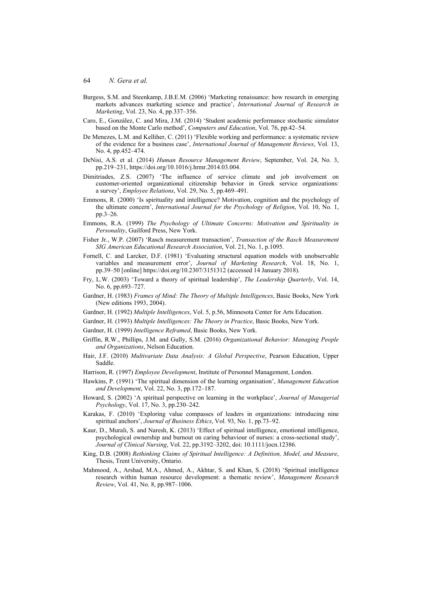- Burgess, S.M. and Steenkamp, J.B.E.M. (2006) 'Marketing renaissance: how research in emerging markets advances marketing science and practice', *International Journal of Research in Marketing*, Vol. 23, No. 4, pp.337–356.
- Caro, E., González, C. and Mira, J.M. (2014) 'Student academic performance stochastic simulator based on the Monte Carlo method', *Computers and Education*, Vol. 76, pp.42–54.
- De Menezes, L.M. and Kelliher, C. (2011) 'Flexible working and performance: a systematic review of the evidence for a business case', *International Journal of Management Reviews*, Vol. 13, No. 4, pp.452–474.
- DeNisi, A.S. et al. (2014) *Human Resource Management Review*, September, Vol. 24, No. 3, pp.219–231, https://doi.org/10.1016/j.hrmr.2014.03.004.
- Dimitriades, Z.S. (2007) 'The influence of service climate and job involvement on customer-oriented organizational citizenship behavior in Greek service organizations: a survey', *Employee Relations*, Vol. 29, No. 5, pp.469–491.
- Emmons, R. (2000) 'Is spirituality and intelligence? Motivation, cognition and the psychology of the ultimate concern', *International Journal for the Psychology of Religion*, Vol. 10, No. 1, pp.3–26.
- Emmons, R.A. (1999) *The Psychology of Ultimate Concerns: Motivation and Spirituality in*  Personality, Guilford Press, New York.
- Fisher Jr., W.P. (2007) 'Rasch measurement transaction', *Transaction of the Rasch Measurement SIG American Educational Research Association*, Vol. 21, No. 1, p.1095.
- Fornell, C. and Larcker, D.F. (1981) 'Evaluating structural equation models with unobservable variables and measurement error', *Journal of Marketing Research*, Vol. 18, No. 1, pp.39–50 [online] https://doi.org/10.2307/3151312 (accessed 14 January 2018).
- Fry, L.W. (2003) 'Toward a theory of spiritual leadership', *The Leadership Quarterly*, Vol. 14, No. 6, pp.693–727.
- Gardner, H. (1983) *Frames of Mind: The Theory of Multiple Intelligences*, Basic Books, New York (New editions 1993, 2004).
- Gardner, H. (1992) *Multiple Intelligences*, Vol. 5, p.56, Minnesota Center for Arts Education.
- Gardner, H. (1993) *Multiple Intelligences: The Theory in Practice*, Basic Books, New York.
- Gardner, H. (1999) *Intelligence Reframed*, Basic Books, New York.
- Griffin, R.W., Phillips, J.M. and Gully, S.M. (2016) *Organizational Behavior: Managing People and Organizations*, Nelson Education.
- Hair, J.F. (2010) *Multivariate Data Analysis: A Global Perspective*, Pearson Education, Upper Saddle.
- Harrison, R. (1997) *Employee Development*, Institute of Personnel Management, London.
- Hawkins, P. (1991) 'The spiritual dimension of the learning organisation', *Management Education and Development*, Vol. 22, No. 3, pp.172–187.
- Howard, S. (2002) 'A spiritual perspective on learning in the workplace', *Journal of Managerial Psychology*, Vol. 17, No. 3, pp.230–242.
- Karakas, F. (2010) 'Exploring value compasses of leaders in organizations: introducing nine spiritual anchors', *Journal of Business Ethics*, Vol. 93, No. 1, pp.73–92.
- Kaur, D., Murali, S. and Naresh, K. (2013) 'Effect of spiritual intelligence, emotional intelligence, psychological ownership and burnout on caring behaviour of nurses: a cross-sectional study', *Journal of Clinical Nursing*, Vol. 22, pp.3192–3202, doi: 10.1111/jocn.12386.
- King, D.B. (2008) *Rethinking Claims of Spiritual Intelligence: A Definition, Model, and Measure*, Thesis, Trent University, Ontario.
- Mahmood, A., Arshad, M.A., Ahmed, A., Akhtar, S. and Khan, S. (2018) 'Spiritual intelligence research within human resource development: a thematic review', *Management Research Review*, Vol. 41, No. 8, pp.987–1006.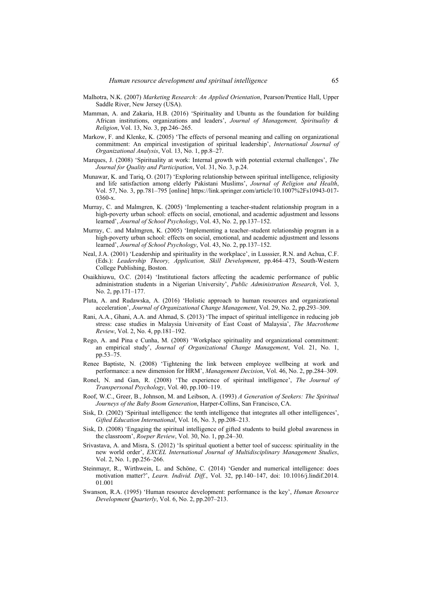- Malhotra, N.K. (2007) *Marketing Research: An Applied Orientation*, Pearson/Prentice Hall, Upper Saddle River, New Jersey (USA).
- Mamman, A. and Zakaria, H.B. (2016) 'Spirituality and Ubuntu as the foundation for building African institutions, organizations and leaders', *Journal of Management, Spirituality & Religion*, Vol. 13, No. 3, pp.246–265.
- Markow, F. and Klenke, K. (2005) 'The effects of personal meaning and calling on organizational commitment: An empirical investigation of spiritual leadership', *International Journal of Organizational Analysis*, Vol. 13, No. 1, pp.8–27.
- Marques, J. (2008) 'Spirituality at work: Internal growth with potential external challenges', *The Journal for Quality and Participation*, Vol. 31, No. 3, p.24.
- Munawar, K. and Tariq, O. (2017) 'Exploring relationship between spiritual intelligence, religiosity and life satisfaction among elderly Pakistani Muslims', *Journal of Religion and Health*, Vol. 57, No. 3, pp.781–795 [online] https://link.springer.com/article/10.1007%2Fs10943-017- 0360-x.
- Murray, C. and Malmgren, K. (2005) 'Implementing a teacher-student relationship program in a high-poverty urban school: effects on social, emotional, and academic adjustment and lessons learned', *Journal of School Psychology*, Vol. 43, No. 2, pp.137–152.
- Murray, C. and Malmgren, K. (2005) 'Implementing a teacher–student relationship program in a high-poverty urban school: effects on social, emotional, and academic adjustment and lessons learned', *Journal of School Psychology*, Vol. 43, No. 2, pp.137–152.
- Neal, J.A. (2001) 'Leadership and spirituality in the workplace', in Lusssier, R.N. and Achua, C.F. (Eds.): *Leadership Theory, Application, Skill Development*, pp.464–473, South-Western College Publishing, Boston.
- Osaikhiuwu, O.C. (2014) 'Institutional factors affecting the academic performance of public administration students in a Nigerian University', *Public Administration Research*, Vol. 3, No. 2, pp.171–177.
- Pluta, A. and Rudawska, A. (2016) 'Holistic approach to human resources and organizational acceleration', *Journal of Organizational Change Management*, Vol. 29, No. 2, pp.293–309.
- Rani, A.A., Ghani, A.A. and Ahmad, S. (2013) 'The impact of spiritual intelligence in reducing job stress: case studies in Malaysia University of East Coast of Malaysia', *The Macrotheme Review*, Vol. 2, No. 4, pp.181–192.
- Rego, A. and Pina e Cunha, M. (2008) 'Workplace spirituality and organizational commitment: an empirical study', *Journal of Organizational Change Management*, Vol. 21, No. 1, pp.53–75.
- Renee Baptiste, N. (2008) 'Tightening the link between employee wellbeing at work and performance: a new dimension for HRM', *Management Decision*, Vol. 46, No. 2, pp.284–309.
- Ronel, N. and Gan, R. (2008) 'The experience of spiritual intelligence', *The Journal of Transpersonal Psychology*, Vol. 40, pp.100–119.
- Roof, W.C., Greer, B., Johnson, M. and Leibson, A. (1993) *A Generation of Seekers: The Spiritual Journeys of the Baby Boom Generation*, Harper-Collins, San Francisco, CA.
- Sisk, D. (2002) 'Spiritual intelligence: the tenth intelligence that integrates all other intelligences', *Gifted Education International*, Vol. 16, No. 3, pp.208–213.
- Sisk, D. (2008) 'Engaging the spiritual intelligence of gifted students to build global awareness in the classroom', *Roeper Review*, Vol. 30, No. 1, pp.24–30.
- Srivastava, A. and Misra, S. (2012) 'Is spiritual quotient a better tool of success: spirituality in the new world order', *EXCEL International Journal of Multidisciplinary Management Studies*, Vol. 2, No. 1, pp.256–266.
- Steinmayr, R., Wirthwein, L. and Schöne, C. (2014) 'Gender and numerical intelligence: does motivation matter?', *Learn. Individ. Diff.*, Vol. 32, pp.140–147, doi: 10.1016/j.lindif.2014. 01.001
- Swanson, R.A. (1995) 'Human resource development: performance is the key', *Human Resource Development Quarterly*, Vol. 6, No. 2, pp.207–213.